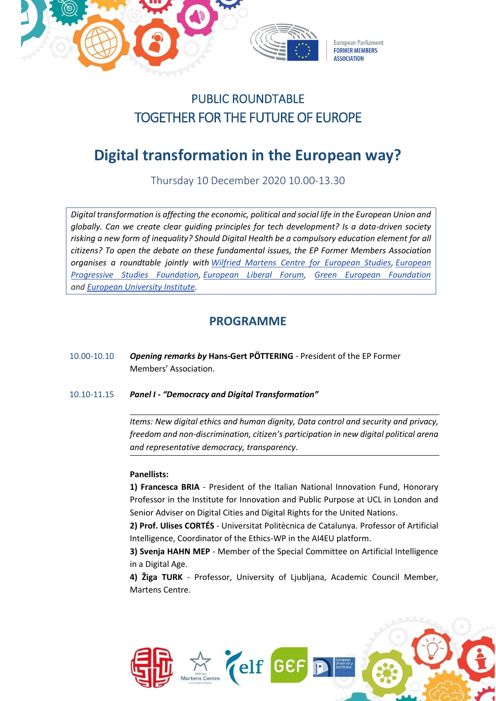

## PUBLIC ROUNDTABLE TOGETHER FOR THE FUTURE OF EUROPE

# **Digital transformation in the European way?**

Thursday 10 December 2020 10.00-13.30

*Digital transformation is affecting the economic, political and social life in the European Union and globally. Can we create clear guiding principles for tech development? Is a data-driven society risking a new form of inequality? Should Digital Health be a compulsory education element for all citizens? To open the debate on these fundamental issues, the EP Former Members Association organises a roundtable jointly with [Wilfried Martens Centre for European Studies,](https://martenscentre.eu/) [European](https://www.feps-europe.eu/)  [Progressive Studies Foundation,](https://www.feps-europe.eu/) [European Liberal Forum,](https://www.liberalforum.eu/) [Green European Foundation](https://gef.eu/) and [European University Institute.](https://www.eui.eu/)*

### **PROGRAMME**

- 10.00-10.10 *Opening remarks by* **Hans-Gert PÖTTERING**  President of the EP Former Members' Association.
- 10.10-11.15 *Panel I - "Democracy and Digital Transformation"*

*Items: New digital ethics and human dignity, Data control and security and privacy, freedom and non-discrimination, citizen's participation in new digital political arena and representative democracy, transparency.*

### **Panellists:**

**1) Francesca BRIA** - President of the Italian National Innovation Fund, Honorary Professor in the Institute for Innovation and Public Purpose at UCL in London and Senior Adviser on Digital Cities and Digital Rights for the United Nations.

**2) Prof. Ulises CORTÉS** - Universitat Politècnica de Catalunya. Professor of Artificial Intelligence, Coordinator of the Ethics-WP in the AI4EU platform.

**3) Svenja HAHN MEP** - Member of the Special Committee on Artificial Intelligence in a Digital Age.

**4) Žiga TURK** - Professor, University of Ljubljana, Academic Council Member, Martens Centre.